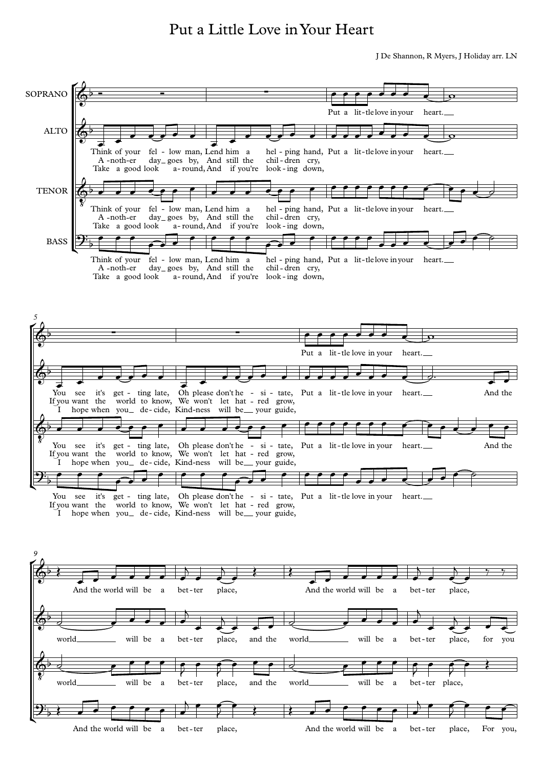## Put a Little Love inYour Heart

J De Shannon, R Myers, J Holiday arr. LN